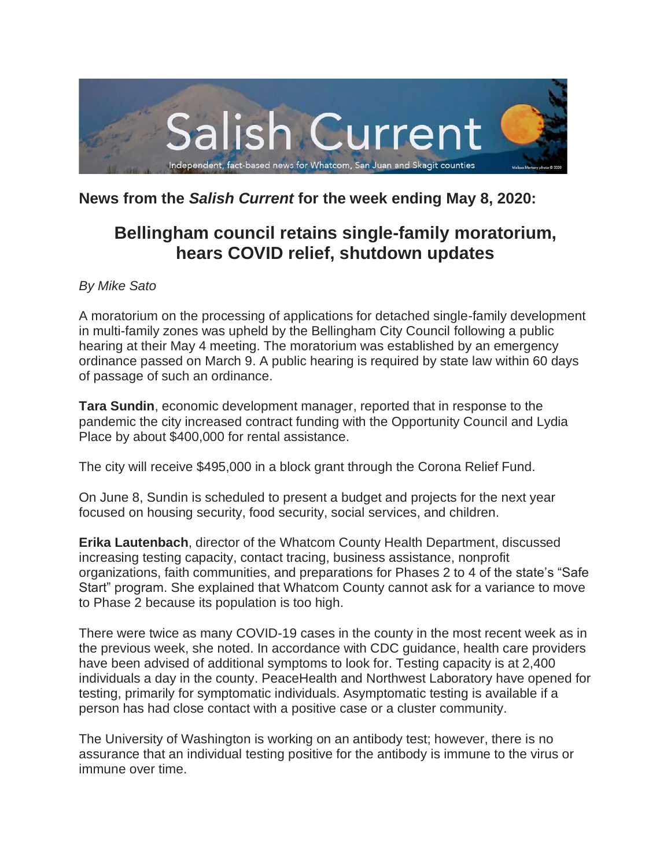

# **News from the** *Salish Current* **for the week ending May 8, 2020:**

# **Bellingham council retains single-family moratorium, hears COVID relief, shutdown updates**

# *By Mike Sato*

A moratorium on the processing of applications for detached single-family development in multi-family zones was upheld by the Bellingham City Council following a public hearing at their May 4 meeting. The moratorium was established by an emergency ordinance passed on March 9. A public hearing is required by state law within 60 days of passage of such an ordinance.

**Tara Sundin**, economic development manager, reported that in response to the pandemic the city increased contract funding with the Opportunity Council and Lydia Place by about \$400,000 for rental assistance.

The city will receive \$495,000 in a block grant through the Corona Relief Fund.

On June 8, Sundin is scheduled to present a budget and projects for the next year focused on housing security, food security, social services, and children.

**Erika Lautenbach**, director of the Whatcom County Health Department, discussed increasing testing capacity, contact tracing, business assistance, nonprofit organizations, faith communities, and preparations for Phases 2 to 4 of the state's "Safe Start" program. She explained that Whatcom County cannot ask for a variance to move to Phase 2 because its population is too high.

There were twice as many COVID-19 cases in the county in the most recent week as in the previous week, she noted. In accordance with CDC guidance, health care providers have been advised of additional symptoms to look for. Testing capacity is at 2,400 individuals a day in the county. PeaceHealth and Northwest Laboratory have opened for testing, primarily for symptomatic individuals. Asymptomatic testing is available if a person has had close contact with a positive case or a cluster community.

The University of Washington is working on an antibody test; however, there is no assurance that an individual testing positive for the antibody is immune to the virus or immune over time.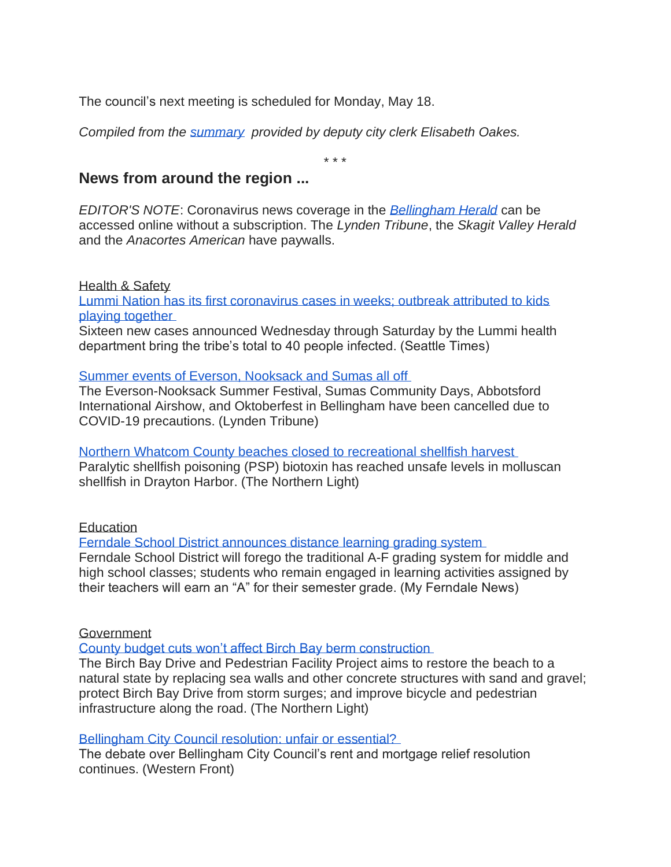The council's next meeting is scheduled for Monday, May 18.

*Compiled from the [summary](https://meetings.cob.org/Documents/ViewDocument/City_Council_Regular_Meeting_2262_Summary_5_4_2020_7_00_00_PM.pdf?meetingId=2262&documentType=Summary&itemId=undefined&publishId=undefined&isSection=false) provided by deputy city clerk Elisabeth Oakes.*

\* \* \*

# **News from around the region ...**

*EDITOR'S NOTE*: Coronavirus news coverage in the *[Bellingham Herald](https://www.bellinghamherald.com/)* can be accessed online without a subscription. The *Lynden Tribune*, the *Skagit Valley Herald* and the *Anacortes American* have paywalls.

Health & Safety Lummi Nation has its [first coronavirus cases in weeks; outbreak attributed to kids](https://www.seattletimes.com/seattle-news/northwest/new-cluster-of-coronavirus-cases-at-lummi-nation-blamed-on-recent-gatherings-that-flouted-tribes-stay-home-order/)  [playing together](https://www.seattletimes.com/seattle-news/northwest/new-cluster-of-coronavirus-cases-at-lummi-nation-blamed-on-recent-gatherings-that-flouted-tribes-stay-home-order/)

Sixteen new cases announced Wednesday through Saturday by the Lummi health department bring the tribe's total to 40 people infected. (Seattle Times)

# [Summer events of Everson, Nooksack and Sumas all off](https://www.lyndentribune.com/news/summer-events-of-everson-nooksack-and-sumas-all-off/article_60f7e3c4-8fa6-11ea-8ca6-fffb904f2ab9.html)

The Everson-Nooksack Summer Festival, Sumas Community Days, Abbotsford International Airshow, and Oktoberfest in Bellingham have been cancelled due to COVID-19 precautions. (Lynden Tribune)

[Northern Whatcom County beaches closed to recreational shellfish harvest](https://www.thenorthernlight.com/stories/northern-whatcom-county-beaches-closed-to-recreational-shellfish-harvest,10447?) Paralytic shellfish poisoning (PSP) biotoxin has reached unsafe levels in molluscan shellfish in Drayton Harbor. (The Northern Light)

# **Education**

[Ferndale School District announces distance learning grading system](https://myferndalenews.com/ferndale-school-district-announces-distance-learning-grading-system_102689/)

Ferndale School District will forego the traditional A-F grading system for middle and high school classes; students who remain engaged in learning activities assigned by their teachers will earn an "A" for their semester grade. (My Ferndale News)

Government

[County budget cuts won't affect Birch Bay berm construction](https://www.thenorthernlight.com/stories/county-budget-cuts-wont-affect-birch-bay-berm-construction,10443?)

The Birch Bay Drive and Pedestrian Facility Project aims to restore the beach to a natural state by replacing sea walls and other concrete structures with sand and gravel; protect Birch Bay Drive from storm surges; and improve bicycle and pedestrian infrastructure along the road. (The Northern Light)

[Bellingham City Council resolution: unfair or essential?](https://www.westernfrontonline.com/2020/05/01/bellingham-city-council-resolution-unfair-or-essential/)

The debate over Bellingham City Council's rent and mortgage relief resolution continues. (Western Front)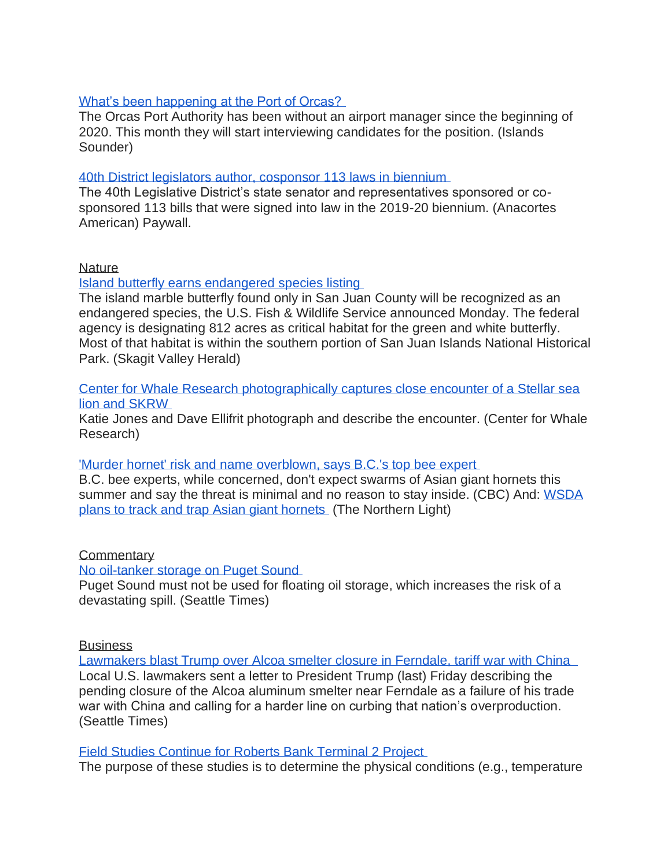# [What's been happening at the Port of Orcas?](https://www.islandssounder.com/news/whats-been-happening-at-the-port-of-orcas/)

The Orcas Port Authority has been without an airport manager since the beginning of 2020. This month they will start interviewing candidates for the position. (Islands Sounder)

# [40th District legislators author, cosponsor 113 laws in biennium](https://www.goskagit.com/anacortes/news/40th-district-legislators-author-cosponsor-113-laws-in-biennium/article_8628d2d2-8f9e-11ea-90b8-07cd1cd249f2.html)

The 40th Legislative District's state senator and representatives sponsored or cosponsored 113 bills that were signed into law in the 2019-20 biennium. (Anacortes American) Paywall.

#### **Nature**

[Island butterfly earns endangered species listing](https://www.goskagit.com/news/local_news/island-butterfly-earns-endangered-species-listing/article_f1758f09-c9f1-56f0-a937-3a93a7f13609.html)

The island marble butterfly found only in San Juan County will be recognized as an endangered species, the U.S. Fish & Wildlife Service announced Monday. The federal agency is designating 812 acres as critical habitat for the green and white butterfly. Most of that habitat is within the southern portion of San Juan Islands National Historical Park. (Skagit Valley Herald)

#### [Center for Whale Research photographically captures close encounter of a Stellar sea](https://orcasissues.com/center-for-whale-research-photographically-captures-close-encounter-of-a-stellar-sea-lion-and-skrw/)  [lion and SKRW](https://orcasissues.com/center-for-whale-research-photographically-captures-close-encounter-of-a-stellar-sea-lion-and-skrw/)

Katie Jones and Dave Ellifrit photograph and describe the encounter. (Center for Whale Research)

# ['Murder hornet' risk and name overblown, says B.C.'s top bee expert](https://www.cbc.ca/news/canada/british-columbia/murder-hornet-risk-overblown-bee-expert-bc-asian-giant-hornet-1.5554746)

B.C. bee experts, while concerned, don't expect swarms of Asian giant hornets this summer and say the threat is minimal and no reason to stay inside. (CBC) And: WSDA [plans to track and trap Asian giant hornets](https://www.thenorthernlight.com/stories/wsda-plans-to-track-and-trap-asian-giant-hornets,10460) (The Northern Light)

# **Commentary**

[No oil-tanker storage on Puget Sound](https://www.seattletimes.com/opinion/editorials/no-oil-tanker-storage-on-puget-sound/?utm_source=referral&utm_medium=mobile-app&utm_campaign=ios)

Puget Sound must not be used for floating oil storage, which increases the risk of a devastating spill. (Seattle Times)

#### **Business**

[Lawmakers blast Trump over Alcoa smelter closure in Ferndale, tariff war with China](https://www.seattletimes.com/business/lawmakers-blast-trump-over-alcoa-smelter-closure-in-ferndale-tariff-war-with-china/) Local U.S. lawmakers sent a letter to President Trump (last) Friday describing the pending closure of the Alcoa aluminum smelter near Ferndale as a failure of his trade war with China and calling for a harder line on curbing that nation's overproduction. (Seattle Times)

#### [Field Studies Continue for Roberts Bank Terminal 2 Project](https://www.dredgingtoday.com/2020/05/04/field-studies-continue-for-roberts-bank-terminal-2-project/)

The purpose of these studies is to determine the physical conditions (e.g., temperature